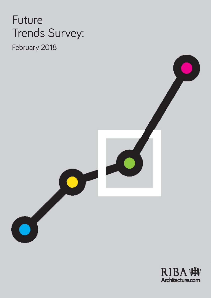# Future Trends Survey:

February 2018



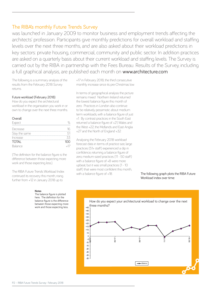# The RIBA's monthly Future Trends Survey

was launched in January 2009 to monitor business and employment trends affecting the architects' profession. Participants give monthly predictions for overall workload and staffing levels over the next three months, and are also asked about their workload predictions in key sectors: private housing, commercial, community and public sector. In addition practices are asked on a quarterly basis about their current workload and staffing levels. The Survey is carried out by the RIBA in partnership with the Fees Bureau. Results of the Survey, including a full graphical analysis, are published each month on www.architecture.com

The following is a summary analysis of the results from the February 2018 Survey returns.

## Future workload (February 2018)

How do you expect the architectural workload in the organisation you work in or own to change over the next three months.

## **Overall**

| Expect        |     |
|---------------|-----|
| Decrease      |     |
| Stay the same | 51  |
| Increase      | 33  |
| <b>TOTAL</b>  | 100 |
| Balance       |     |

(The definition for the balance figure is the difference between those expecting more work and those expecting less.).

The RIBA Future Trends Workload Index continued its recovery this month, rising further from +12 in January 2018 up to

#### **Notes**

The balance figure is plotted here. The definition for the balance figure is the difference between those expecting more work and those expecting less. +17 in February 2018; the third consecutive monthly increase since its pre-Christmas low.

In terms of geographical analysis the picture remains mixed. Northern Ireland returned the lowest balance figure this month of zero. Practices in London also continue to be relatively pessimistic about medium term workloads, with a balance figure of just +1. By contrast practices in the South East returned a balance figure of +21, Wales and the West +22, the Midlands and East Anglia +27 and the North of England +32.

Analysing the February 2018 workload forecast data in terms of practice size, large practices (51+ staff) experienced a dip in confidence, returning a balance figure of zero, medium-sized practices (11 - 50 staff) with a balance figure of +8 were more upbeat, but it was small practices (1 - 10 staff) that were most confident this month, with a balance figure of +18. The following graph plots the RIBA Future

Workload index over time:

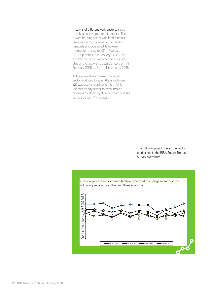In terms of different work sectors, it was mainly a positive picture this month. The private housing sector workload forecast remains the most upbeat of our sector forecasts and continued its upward momentum, rising to +21 in February 2018, up from +13 in January 2018. The commercial sector workload forecast was also on the rise, with a balance figure of +7 in February 2018, up from +1 in January 2018.

Although relatively weaker the public sector workload forecast (balance figure +2) was back in positive territory. Only the community sector forecast moved downwards, standing at -4 in February 2018 compared with -1 in January.

> The following graph tracks the sector predictions in the RIBA Future Trends Survey over time: